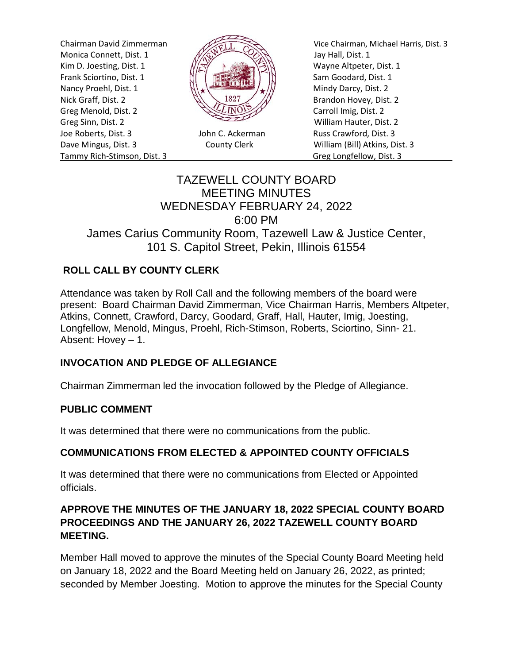Monica Connett, Dist. 1  $\frac{1}{\sqrt{2}}$  Jay Hall, Dist. 1 Kim D. Joesting, Dist. 1  $\sqrt{|\mathcal{R}|}$  N Wayne Altpeter, Dist. 1 Frank Sciortino, Dist. 1  $\left[\begin{array}{cc} \begin{array}{ccc} \dots & \dots & \dots \\ \dots & \dots & \dots \end{array} \right] & \begin{array}{ccc} \dots & \dots & \dots \\ \dots & \dots & \dots \end{array} \end{array} \right]$  Sam Goodard, Dist. 1 Nancy Proehl, Dist. 1  $\left\| \cdot \right\|$ Nick Graff, Dist. 2  $\mathbb{R}\setminus\mathbb{R}^{32}$  Brandon Hovey, Dist. 2 Greg Menold, Dist. 2 Carroll Imig, Dist. 2 Greg Sinn, Dist. 2 William Hauter, Dist. 2 Joe Roberts, Dist. 3 John C. Ackerman Russ Crawford, Dist. 3 Dave Mingus, Dist. 3 County Clerk William (Bill) Atkins, Dist. 3 Tammy Rich-Stimson, Dist. 3 Greg Longfellow, Dist. 3



Chairman David Zimmerman Vice Chairman, Michael Harris, Dist. 3

# TAZEWELL COUNTY BOARD MEETING MINUTES WEDNESDAY FEBRUARY 24, 2022 6:00 PM James Carius Community Room, Tazewell Law & Justice Center, 101 S. Capitol Street, Pekin, Illinois 61554

# **ROLL CALL BY COUNTY CLERK**

Attendance was taken by Roll Call and the following members of the board were present: Board Chairman David Zimmerman, Vice Chairman Harris, Members Altpeter, Atkins, Connett, Crawford, Darcy, Goodard, Graff, Hall, Hauter, Imig, Joesting, Longfellow, Menold, Mingus, Proehl, Rich-Stimson, Roberts, Sciortino, Sinn- 21. Absent: Hovey – 1.

# **INVOCATION AND PLEDGE OF ALLEGIANCE**

Chairman Zimmerman led the invocation followed by the Pledge of Allegiance.

# **PUBLIC COMMENT**

It was determined that there were no communications from the public.

# **COMMUNICATIONS FROM ELECTED & APPOINTED COUNTY OFFICIALS**

It was determined that there were no communications from Elected or Appointed officials.

# **APPROVE THE MINUTES OF THE JANUARY 18, 2022 SPECIAL COUNTY BOARD PROCEEDINGS AND THE JANUARY 26, 2022 TAZEWELL COUNTY BOARD MEETING.**

Member Hall moved to approve the minutes of the Special County Board Meeting held on January 18, 2022 and the Board Meeting held on January 26, 2022, as printed; seconded by Member Joesting. Motion to approve the minutes for the Special County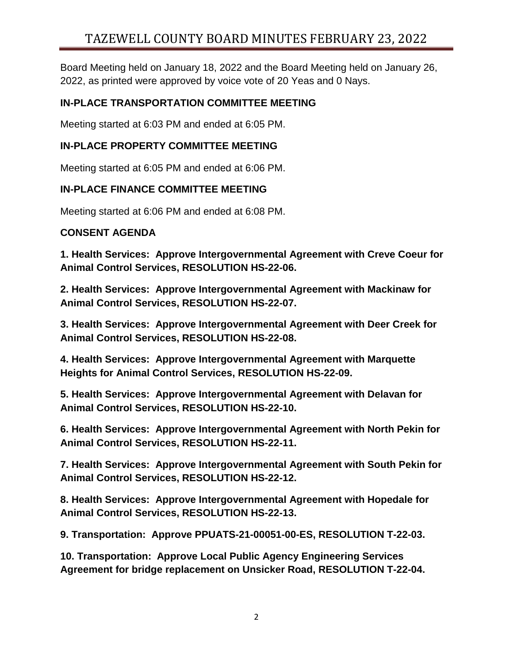# TAZEWELL COUNTY BOARD MINUTES FEBRUARY 23, 2022

Board Meeting held on January 18, 2022 and the Board Meeting held on January 26, 2022, as printed were approved by voice vote of 20 Yeas and 0 Nays.

# **IN-PLACE TRANSPORTATION COMMITTEE MEETING**

Meeting started at 6:03 PM and ended at 6:05 PM.

# **IN-PLACE PROPERTY COMMITTEE MEETING**

Meeting started at 6:05 PM and ended at 6:06 PM.

#### **IN-PLACE FINANCE COMMITTEE MEETING**

Meeting started at 6:06 PM and ended at 6:08 PM.

#### **CONSENT AGENDA**

**1. Health Services: Approve Intergovernmental Agreement with Creve Coeur for Animal Control Services, RESOLUTION HS-22-06.** 

**2. Health Services: Approve Intergovernmental Agreement with Mackinaw for Animal Control Services, RESOLUTION HS-22-07.** 

**3. Health Services: Approve Intergovernmental Agreement with Deer Creek for Animal Control Services, RESOLUTION HS-22-08.** 

**4. Health Services: Approve Intergovernmental Agreement with Marquette Heights for Animal Control Services, RESOLUTION HS-22-09.** 

**5. Health Services: Approve Intergovernmental Agreement with Delavan for Animal Control Services, RESOLUTION HS-22-10.** 

**6. Health Services: Approve Intergovernmental Agreement with North Pekin for Animal Control Services, RESOLUTION HS-22-11.** 

**7. Health Services: Approve Intergovernmental Agreement with South Pekin for Animal Control Services, RESOLUTION HS-22-12.** 

**8. Health Services: Approve Intergovernmental Agreement with Hopedale for Animal Control Services, RESOLUTION HS-22-13.** 

**9. Transportation: Approve PPUATS-21-00051-00-ES, RESOLUTION T-22-03.** 

**10. Transportation: Approve Local Public Agency Engineering Services Agreement for bridge replacement on Unsicker Road, RESOLUTION T-22-04.**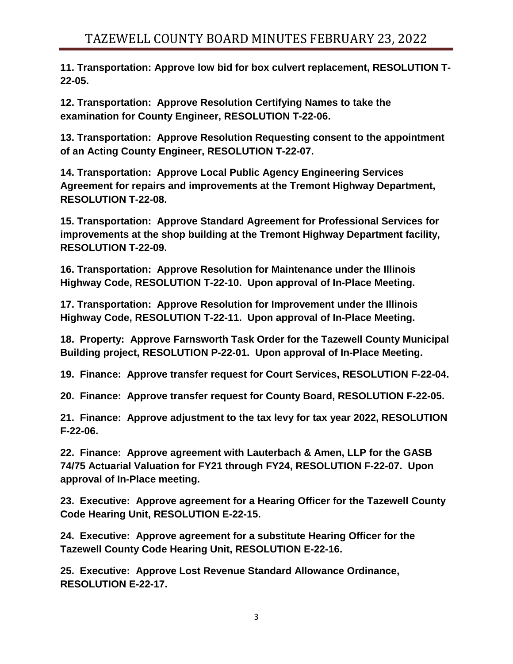**11. Transportation: Approve low bid for box culvert replacement, RESOLUTION T-22-05.** 

**12. Transportation: Approve Resolution Certifying Names to take the examination for County Engineer, RESOLUTION T-22-06.** 

**13. Transportation: Approve Resolution Requesting consent to the appointment of an Acting County Engineer, RESOLUTION T-22-07.** 

**14. Transportation: Approve Local Public Agency Engineering Services Agreement for repairs and improvements at the Tremont Highway Department, RESOLUTION T-22-08.** 

**15. Transportation: Approve Standard Agreement for Professional Services for improvements at the shop building at the Tremont Highway Department facility, RESOLUTION T-22-09.** 

**16. Transportation: Approve Resolution for Maintenance under the Illinois Highway Code, RESOLUTION T-22-10. Upon approval of In-Place Meeting.**

**17. Transportation: Approve Resolution for Improvement under the Illinois Highway Code, RESOLUTION T-22-11. Upon approval of In-Place Meeting.**

**18. Property: Approve Farnsworth Task Order for the Tazewell County Municipal Building project, RESOLUTION P-22-01. Upon approval of In-Place Meeting.**

**19. Finance: Approve transfer request for Court Services, RESOLUTION F-22-04.**

**20. Finance: Approve transfer request for County Board, RESOLUTION F-22-05.**

**21. Finance: Approve adjustment to the tax levy for tax year 2022, RESOLUTION F-22-06.**

**22. Finance: Approve agreement with Lauterbach & Amen, LLP for the GASB 74/75 Actuarial Valuation for FY21 through FY24, RESOLUTION F-22-07. Upon approval of In-Place meeting.**

**23. Executive: Approve agreement for a Hearing Officer for the Tazewell County Code Hearing Unit, RESOLUTION E-22-15.**

**24. Executive: Approve agreement for a substitute Hearing Officer for the Tazewell County Code Hearing Unit, RESOLUTION E-22-16.**

**25. Executive: Approve Lost Revenue Standard Allowance Ordinance, RESOLUTION E-22-17.**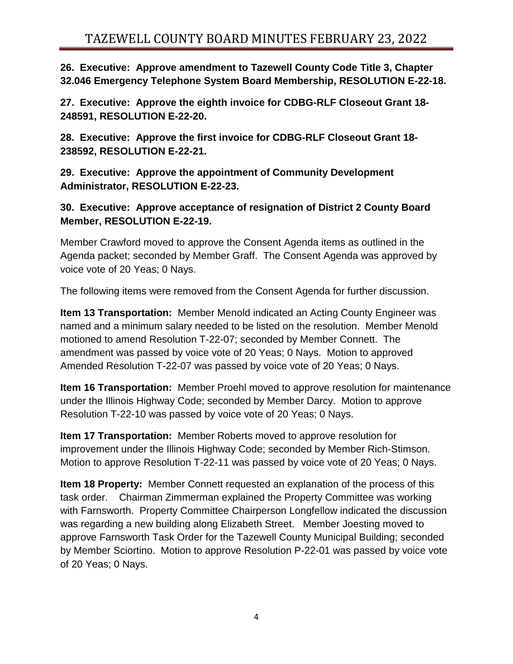**26. Executive: Approve amendment to Tazewell County Code Title 3, Chapter 32.046 Emergency Telephone System Board Membership, RESOLUTION E-22-18.**

**27. Executive: Approve the eighth invoice for CDBG-RLF Closeout Grant 18- 248591, RESOLUTION E-22-20.**

**28. Executive: Approve the first invoice for CDBG-RLF Closeout Grant 18- 238592, RESOLUTION E-22-21.**

**29. Executive: Approve the appointment of Community Development Administrator, RESOLUTION E-22-23.**

**30. Executive: Approve acceptance of resignation of District 2 County Board Member, RESOLUTION E-22-19.**

Member Crawford moved to approve the Consent Agenda items as outlined in the Agenda packet; seconded by Member Graff. The Consent Agenda was approved by voice vote of 20 Yeas; 0 Nays.

The following items were removed from the Consent Agenda for further discussion.

**Item 13 Transportation:** Member Menold indicated an Acting County Engineer was named and a minimum salary needed to be listed on the resolution. Member Menold motioned to amend Resolution T-22-07; seconded by Member Connett. The amendment was passed by voice vote of 20 Yeas; 0 Nays. Motion to approved Amended Resolution T-22-07 was passed by voice vote of 20 Yeas; 0 Nays.

**Item 16 Transportation:** Member Proehl moved to approve resolution for maintenance under the Illinois Highway Code; seconded by Member Darcy. Motion to approve Resolution T-22-10 was passed by voice vote of 20 Yeas; 0 Nays.

**Item 17 Transportation:** Member Roberts moved to approve resolution for improvement under the Illinois Highway Code; seconded by Member Rich-Stimson. Motion to approve Resolution T-22-11 was passed by voice vote of 20 Yeas; 0 Nays.

**Item 18 Property:** Member Connett requested an explanation of the process of this task order. Chairman Zimmerman explained the Property Committee was working with Farnsworth. Property Committee Chairperson Longfellow indicated the discussion was regarding a new building along Elizabeth Street. Member Joesting moved to approve Farnsworth Task Order for the Tazewell County Municipal Building; seconded by Member Sciortino. Motion to approve Resolution P-22-01 was passed by voice vote of 20 Yeas; 0 Nays.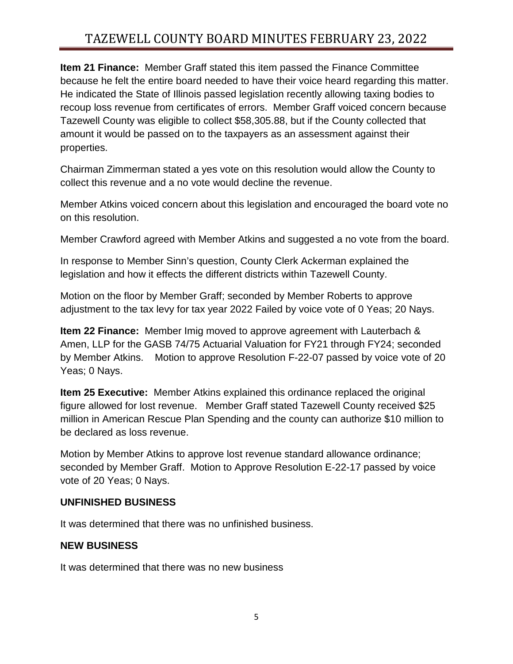# TAZEWELL COUNTY BOARD MINUTES FEBRUARY 23, 2022

**Item 21 Finance:** Member Graff stated this item passed the Finance Committee because he felt the entire board needed to have their voice heard regarding this matter. He indicated the State of Illinois passed legislation recently allowing taxing bodies to recoup loss revenue from certificates of errors. Member Graff voiced concern because Tazewell County was eligible to collect \$58,305.88, but if the County collected that amount it would be passed on to the taxpayers as an assessment against their properties.

Chairman Zimmerman stated a yes vote on this resolution would allow the County to collect this revenue and a no vote would decline the revenue.

Member Atkins voiced concern about this legislation and encouraged the board vote no on this resolution.

Member Crawford agreed with Member Atkins and suggested a no vote from the board.

In response to Member Sinn's question, County Clerk Ackerman explained the legislation and how it effects the different districts within Tazewell County.

Motion on the floor by Member Graff; seconded by Member Roberts to approve adjustment to the tax levy for tax year 2022 Failed by voice vote of 0 Yeas; 20 Nays.

**Item 22 Finance:** Member Imig moved to approve agreement with Lauterbach & Amen, LLP for the GASB 74/75 Actuarial Valuation for FY21 through FY24; seconded by Member Atkins. Motion to approve Resolution F-22-07 passed by voice vote of 20 Yeas; 0 Nays.

**Item 25 Executive:** Member Atkins explained this ordinance replaced the original figure allowed for lost revenue. Member Graff stated Tazewell County received \$25 million in American Rescue Plan Spending and the county can authorize \$10 million to be declared as loss revenue.

Motion by Member Atkins to approve lost revenue standard allowance ordinance; seconded by Member Graff. Motion to Approve Resolution E-22-17 passed by voice vote of 20 Yeas; 0 Nays.

# **UNFINISHED BUSINESS**

It was determined that there was no unfinished business.

#### **NEW BUSINESS**

It was determined that there was no new business